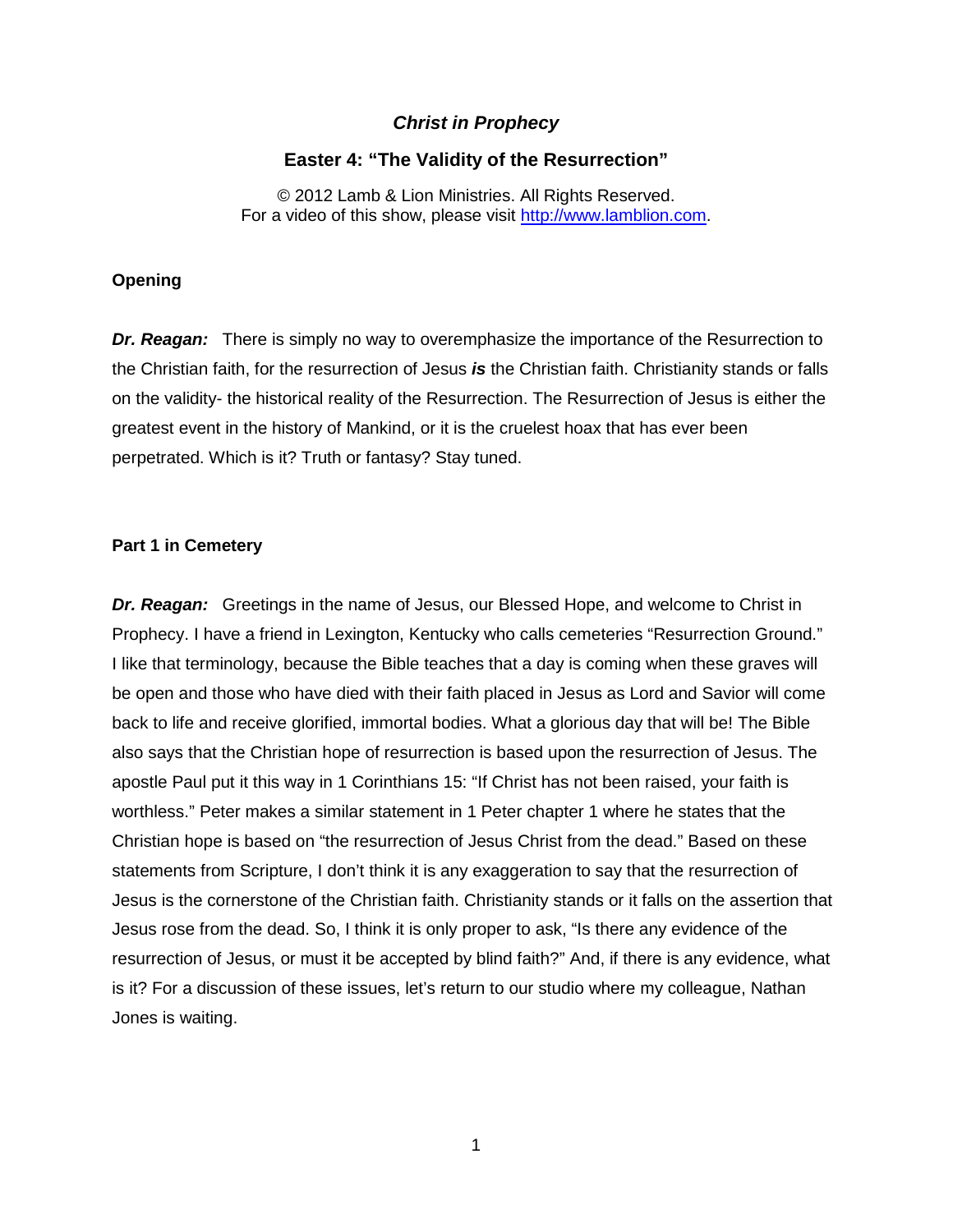# *Christ in Prophecy*

# **Easter 4: "The Validity of the Resurrection"**

© 2012 Lamb & Lion Ministries. All Rights Reserved. For a video of this show, please visit [http://www.lamblion.com.](http://www.lamblion.com/)

### **Opening**

*Dr. Reagan:* There is simply no way to overemphasize the importance of the Resurrection to the Christian faith, for the resurrection of Jesus *is* the Christian faith. Christianity stands or falls on the validity- the historical reality of the Resurrection. The Resurrection of Jesus is either the greatest event in the history of Mankind, or it is the cruelest hoax that has ever been perpetrated. Which is it? Truth or fantasy? Stay tuned.

## **Part 1 in Cemetery**

*Dr. Reagan:* Greetings in the name of Jesus, our Blessed Hope, and welcome to Christ in Prophecy. I have a friend in Lexington, Kentucky who calls cemeteries "Resurrection Ground." I like that terminology, because the Bible teaches that a day is coming when these graves will be open and those who have died with their faith placed in Jesus as Lord and Savior will come back to life and receive glorified, immortal bodies. What a glorious day that will be! The Bible also says that the Christian hope of resurrection is based upon the resurrection of Jesus. The apostle Paul put it this way in 1 Corinthians 15: "If Christ has not been raised, your faith is worthless." Peter makes a similar statement in 1 Peter chapter 1 where he states that the Christian hope is based on "the resurrection of Jesus Christ from the dead." Based on these statements from Scripture, I don't think it is any exaggeration to say that the resurrection of Jesus is the cornerstone of the Christian faith. Christianity stands or it falls on the assertion that Jesus rose from the dead. So, I think it is only proper to ask, "Is there any evidence of the resurrection of Jesus, or must it be accepted by blind faith?" And, if there is any evidence, what is it? For a discussion of these issues, let's return to our studio where my colleague, Nathan Jones is waiting.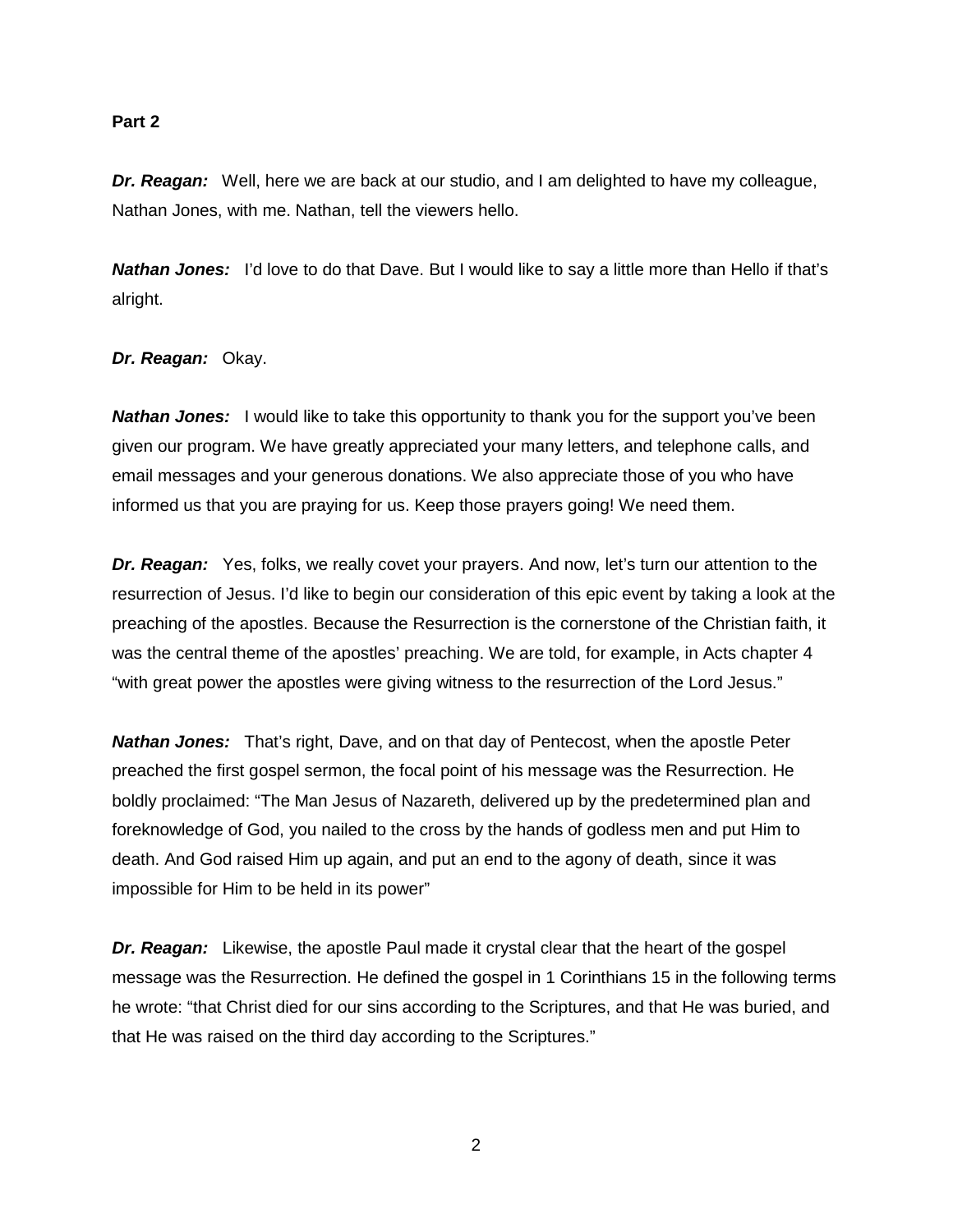### **Part 2**

*Dr. Reagan:* Well, here we are back at our studio, and I am delighted to have my colleague, Nathan Jones, with me. Nathan, tell the viewers hello.

*Nathan Jones:* I'd love to do that Dave. But I would like to say a little more than Hello if that's alright.

## *Dr. Reagan:* Okay.

**Nathan Jones:** I would like to take this opportunity to thank you for the support you've been given our program. We have greatly appreciated your many letters, and telephone calls, and email messages and your generous donations. We also appreciate those of you who have informed us that you are praying for us. Keep those prayers going! We need them.

**Dr. Reagan:** Yes, folks, we really covet your prayers. And now, let's turn our attention to the resurrection of Jesus. I'd like to begin our consideration of this epic event by taking a look at the preaching of the apostles. Because the Resurrection is the cornerstone of the Christian faith, it was the central theme of the apostles' preaching. We are told, for example, in Acts chapter 4 "with great power the apostles were giving witness to the resurrection of the Lord Jesus."

*Nathan Jones:* That's right, Dave, and on that day of Pentecost, when the apostle Peter preached the first gospel sermon, the focal point of his message was the Resurrection. He boldly proclaimed: "The Man Jesus of Nazareth, delivered up by the predetermined plan and foreknowledge of God, you nailed to the cross by the hands of godless men and put Him to death. And God raised Him up again, and put an end to the agony of death, since it was impossible for Him to be held in its power"

*Dr. Reagan:* Likewise, the apostle Paul made it crystal clear that the heart of the gospel message was the Resurrection. He defined the gospel in 1 Corinthians 15 in the following terms he wrote: "that Christ died for our sins according to the Scriptures, and that He was buried, and that He was raised on the third day according to the Scriptures."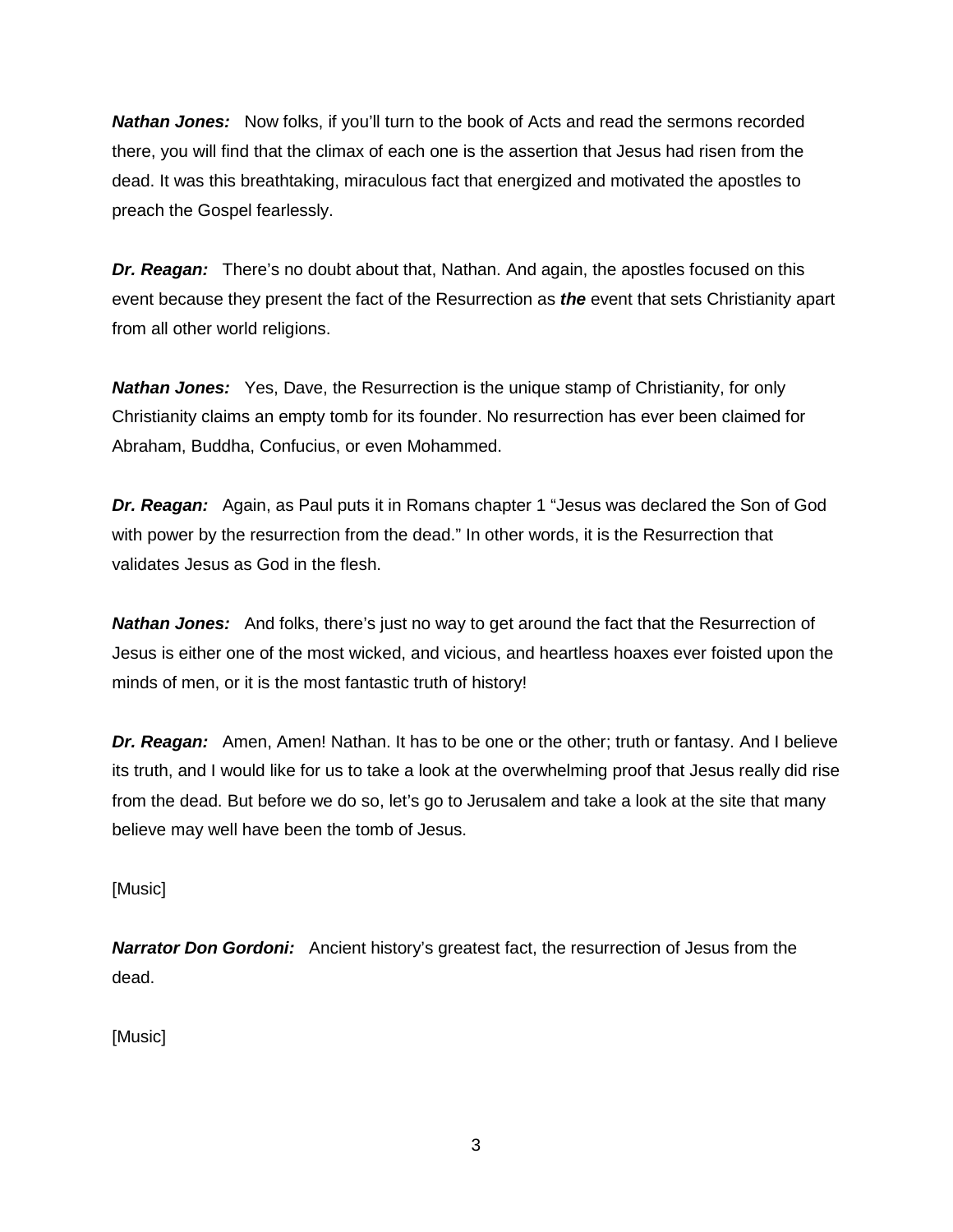*Nathan Jones:* Now folks, if you'll turn to the book of Acts and read the sermons recorded there, you will find that the climax of each one is the assertion that Jesus had risen from the dead. It was this breathtaking, miraculous fact that energized and motivated the apostles to preach the Gospel fearlessly.

*Dr. Reagan:* There's no doubt about that, Nathan. And again, the apostles focused on this event because they present the fact of the Resurrection as *the* event that sets Christianity apart from all other world religions.

*Nathan Jones:* Yes, Dave, the Resurrection is the unique stamp of Christianity, for only Christianity claims an empty tomb for its founder. No resurrection has ever been claimed for Abraham, Buddha, Confucius, or even Mohammed.

*Dr. Reagan:* Again, as Paul puts it in Romans chapter 1 "Jesus was declared the Son of God with power by the resurrection from the dead." In other words, it is the Resurrection that validates Jesus as God in the flesh.

*Nathan Jones:* And folks, there's just no way to get around the fact that the Resurrection of Jesus is either one of the most wicked, and vicious, and heartless hoaxes ever foisted upon the minds of men, or it is the most fantastic truth of history!

*Dr. Reagan:* Amen, Amen! Nathan. It has to be one or the other; truth or fantasy. And I believe its truth, and I would like for us to take a look at the overwhelming proof that Jesus really did rise from the dead. But before we do so, let's go to Jerusalem and take a look at the site that many believe may well have been the tomb of Jesus.

[Music]

*Narrator Don Gordoni:* Ancient history's greatest fact, the resurrection of Jesus from the dead.

[Music]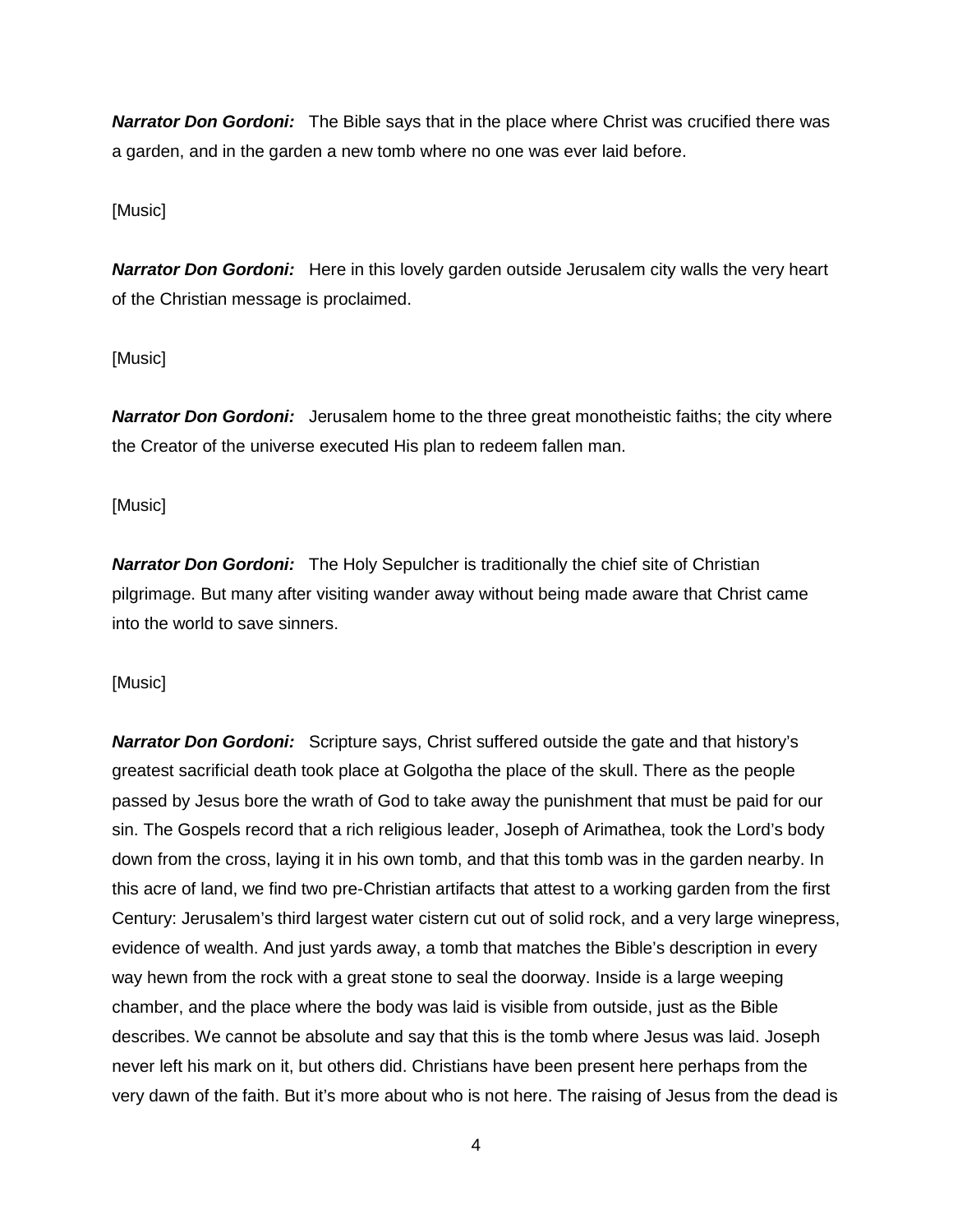*Narrator Don Gordoni:* The Bible says that in the place where Christ was crucified there was a garden, and in the garden a new tomb where no one was ever laid before.

# [Music]

*Narrator Don Gordoni:* Here in this lovely garden outside Jerusalem city walls the very heart of the Christian message is proclaimed.

# [Music]

**Narrator Don Gordoni:** Jerusalem home to the three great monotheistic faiths; the city where the Creator of the universe executed His plan to redeem fallen man.

## [Music]

*Narrator Don Gordoni:* The Holy Sepulcher is traditionally the chief site of Christian pilgrimage. But many after visiting wander away without being made aware that Christ came into the world to save sinners.

### [Music]

*Narrator Don Gordoni:* Scripture says, Christ suffered outside the gate and that history's greatest sacrificial death took place at Golgotha the place of the skull. There as the people passed by Jesus bore the wrath of God to take away the punishment that must be paid for our sin. The Gospels record that a rich religious leader, Joseph of Arimathea, took the Lord's body down from the cross, laying it in his own tomb, and that this tomb was in the garden nearby. In this acre of land, we find two pre-Christian artifacts that attest to a working garden from the first Century: Jerusalem's third largest water cistern cut out of solid rock, and a very large winepress, evidence of wealth. And just yards away, a tomb that matches the Bible's description in every way hewn from the rock with a great stone to seal the doorway. Inside is a large weeping chamber, and the place where the body was laid is visible from outside, just as the Bible describes. We cannot be absolute and say that this is the tomb where Jesus was laid. Joseph never left his mark on it, but others did. Christians have been present here perhaps from the very dawn of the faith. But it's more about who is not here. The raising of Jesus from the dead is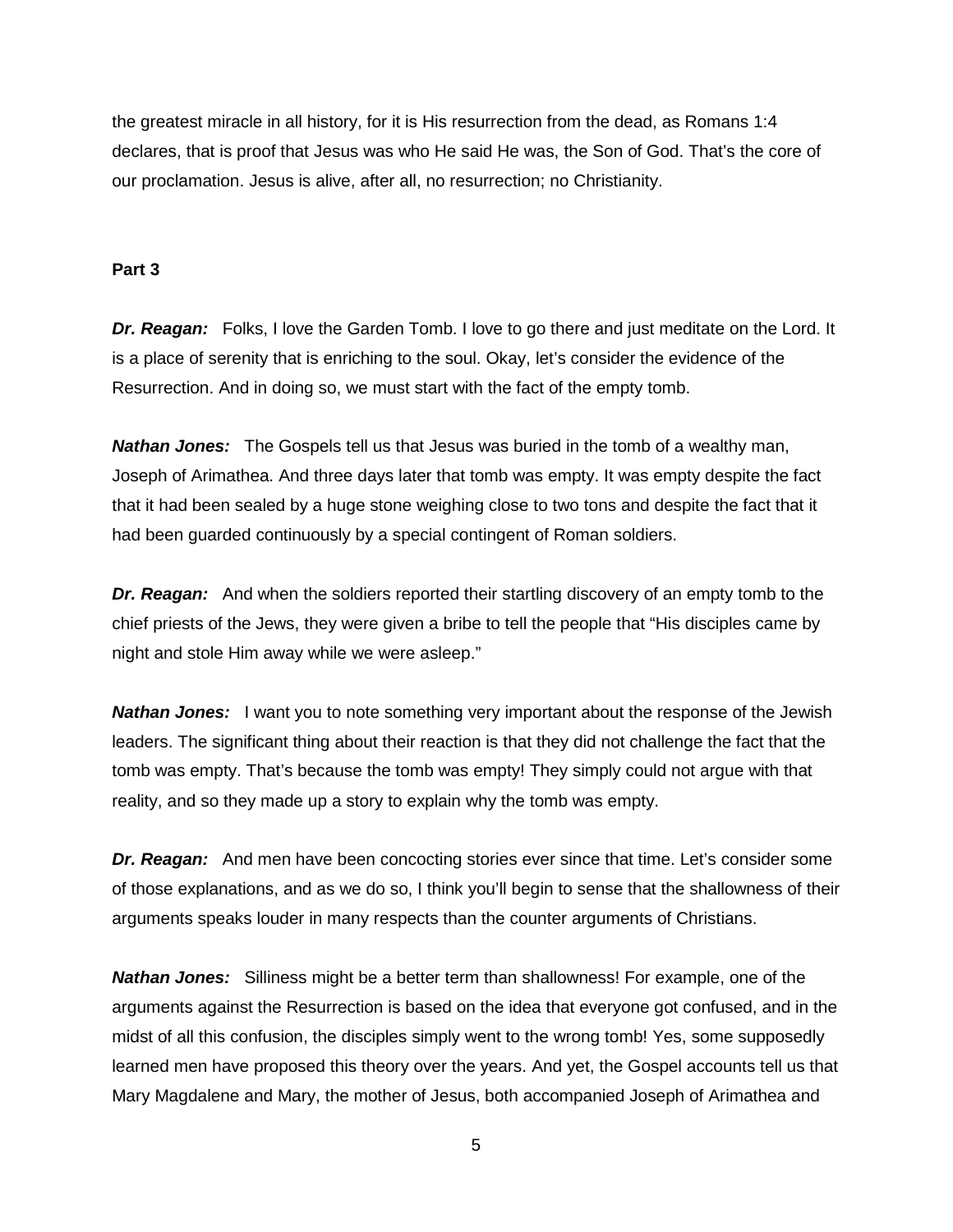the greatest miracle in all history, for it is His resurrection from the dead, as Romans 1:4 declares, that is proof that Jesus was who He said He was, the Son of God. That's the core of our proclamation. Jesus is alive, after all, no resurrection; no Christianity.

### **Part 3**

*Dr. Reagan:* Folks, I love the Garden Tomb. I love to go there and just meditate on the Lord. It is a place of serenity that is enriching to the soul. Okay, let's consider the evidence of the Resurrection. And in doing so, we must start with the fact of the empty tomb.

*Nathan Jones:* The Gospels tell us that Jesus was buried in the tomb of a wealthy man, Joseph of Arimathea. And three days later that tomb was empty. It was empty despite the fact that it had been sealed by a huge stone weighing close to two tons and despite the fact that it had been guarded continuously by a special contingent of Roman soldiers.

*Dr. Reagan:* And when the soldiers reported their startling discovery of an empty tomb to the chief priests of the Jews, they were given a bribe to tell the people that "His disciples came by night and stole Him away while we were asleep."

**Nathan Jones:** I want you to note something very important about the response of the Jewish leaders. The significant thing about their reaction is that they did not challenge the fact that the tomb was empty. That's because the tomb was empty! They simply could not argue with that reality, and so they made up a story to explain why the tomb was empty.

*Dr. Reagan:* And men have been concocting stories ever since that time. Let's consider some of those explanations, and as we do so, I think you'll begin to sense that the shallowness of their arguments speaks louder in many respects than the counter arguments of Christians.

*Nathan Jones:* Silliness might be a better term than shallowness! For example, one of the arguments against the Resurrection is based on the idea that everyone got confused, and in the midst of all this confusion, the disciples simply went to the wrong tomb! Yes, some supposedly learned men have proposed this theory over the years. And yet, the Gospel accounts tell us that Mary Magdalene and Mary, the mother of Jesus, both accompanied Joseph of Arimathea and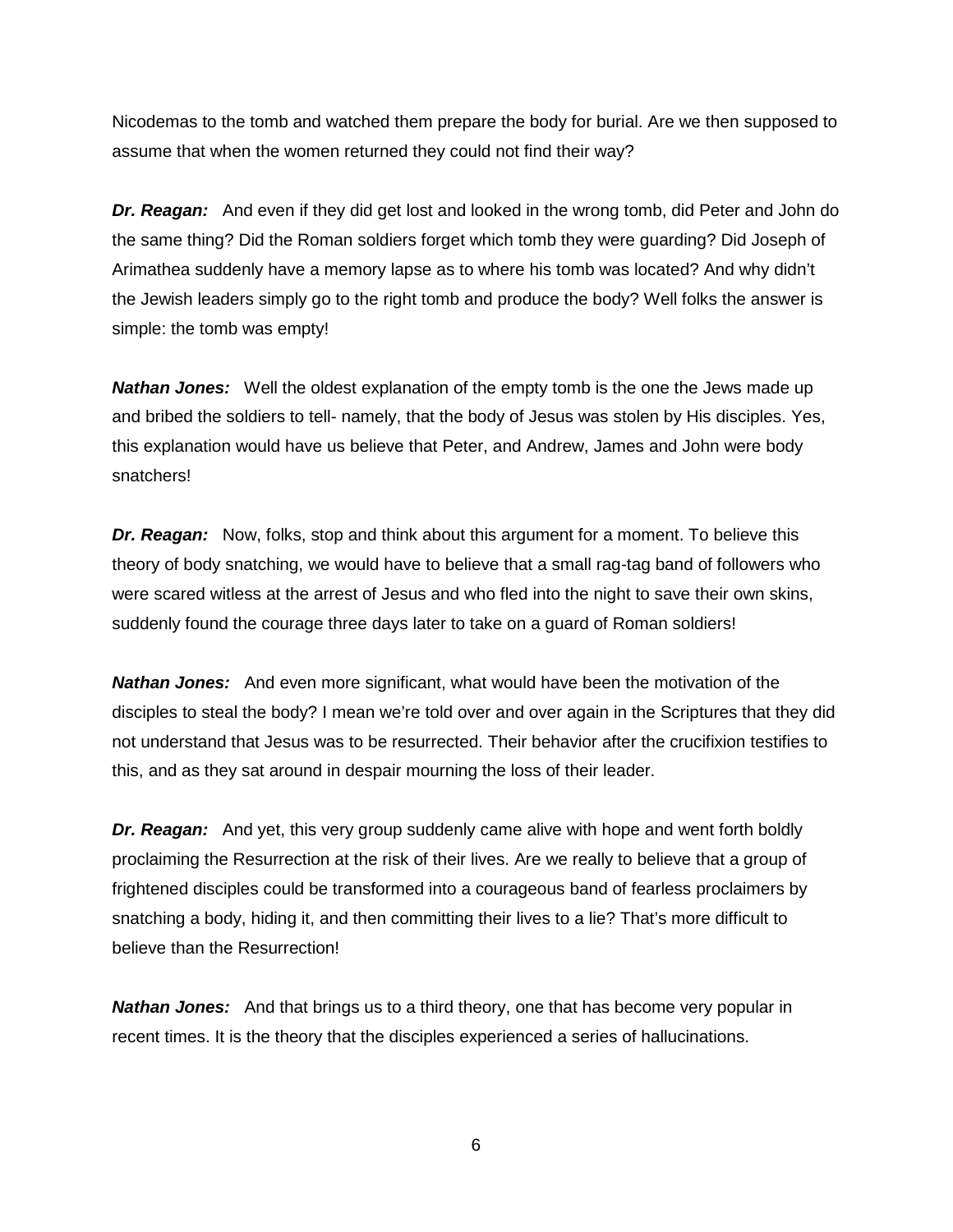Nicodemas to the tomb and watched them prepare the body for burial. Are we then supposed to assume that when the women returned they could not find their way?

*Dr. Reagan:* And even if they did get lost and looked in the wrong tomb, did Peter and John do the same thing? Did the Roman soldiers forget which tomb they were guarding? Did Joseph of Arimathea suddenly have a memory lapse as to where his tomb was located? And why didn't the Jewish leaders simply go to the right tomb and produce the body? Well folks the answer is simple: the tomb was empty!

*Nathan Jones:* Well the oldest explanation of the empty tomb is the one the Jews made up and bribed the soldiers to tell- namely, that the body of Jesus was stolen by His disciples. Yes, this explanation would have us believe that Peter, and Andrew, James and John were body snatchers!

*Dr. Reagan:* Now, folks, stop and think about this argument for a moment. To believe this theory of body snatching, we would have to believe that a small rag-tag band of followers who were scared witless at the arrest of Jesus and who fled into the night to save their own skins, suddenly found the courage three days later to take on a guard of Roman soldiers!

*Nathan Jones:* And even more significant, what would have been the motivation of the disciples to steal the body? I mean we're told over and over again in the Scriptures that they did not understand that Jesus was to be resurrected. Their behavior after the crucifixion testifies to this, and as they sat around in despair mourning the loss of their leader.

*Dr. Reagan:* And yet, this very group suddenly came alive with hope and went forth boldly proclaiming the Resurrection at the risk of their lives. Are we really to believe that a group of frightened disciples could be transformed into a courageous band of fearless proclaimers by snatching a body, hiding it, and then committing their lives to a lie? That's more difficult to believe than the Resurrection!

*Nathan Jones:* And that brings us to a third theory, one that has become very popular in recent times. It is the theory that the disciples experienced a series of hallucinations.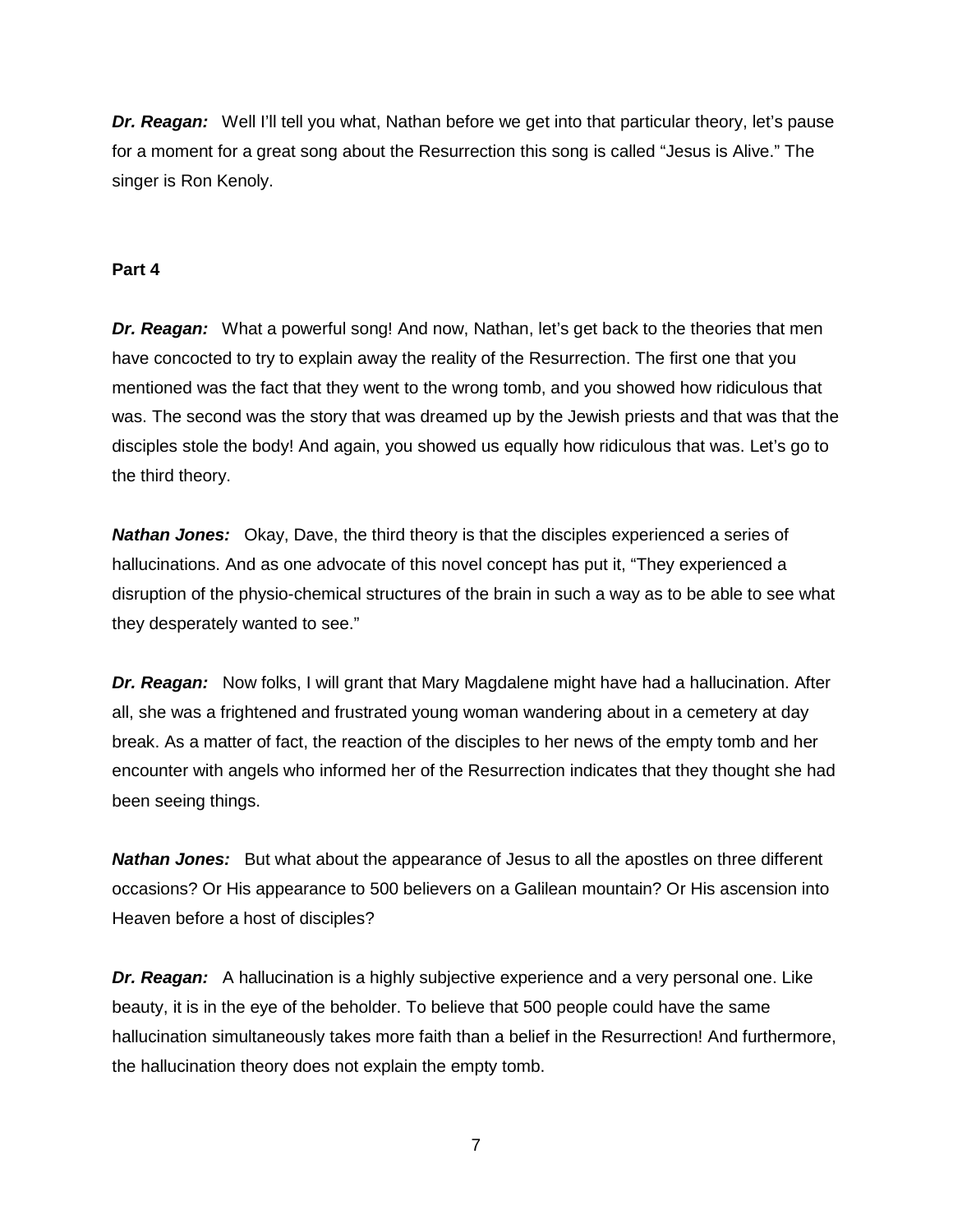*Dr. Reagan:* Well I'll tell you what, Nathan before we get into that particular theory, let's pause for a moment for a great song about the Resurrection this song is called "Jesus is Alive." The singer is Ron Kenoly.

### **Part 4**

**Dr. Reagan:** What a powerful song! And now, Nathan, let's get back to the theories that men have concocted to try to explain away the reality of the Resurrection. The first one that you mentioned was the fact that they went to the wrong tomb, and you showed how ridiculous that was. The second was the story that was dreamed up by the Jewish priests and that was that the disciples stole the body! And again, you showed us equally how ridiculous that was. Let's go to the third theory.

*Nathan Jones:* Okay, Dave, the third theory is that the disciples experienced a series of hallucinations. And as one advocate of this novel concept has put it, "They experienced a disruption of the physio-chemical structures of the brain in such a way as to be able to see what they desperately wanted to see."

*Dr. Reagan:* Now folks, I will grant that Mary Magdalene might have had a hallucination. After all, she was a frightened and frustrated young woman wandering about in a cemetery at day break. As a matter of fact, the reaction of the disciples to her news of the empty tomb and her encounter with angels who informed her of the Resurrection indicates that they thought she had been seeing things.

**Nathan Jones:** But what about the appearance of Jesus to all the apostles on three different occasions? Or His appearance to 500 believers on a Galilean mountain? Or His ascension into Heaven before a host of disciples?

*Dr. Reagan:* A hallucination is a highly subjective experience and a very personal one. Like beauty, it is in the eye of the beholder. To believe that 500 people could have the same hallucination simultaneously takes more faith than a belief in the Resurrection! And furthermore, the hallucination theory does not explain the empty tomb.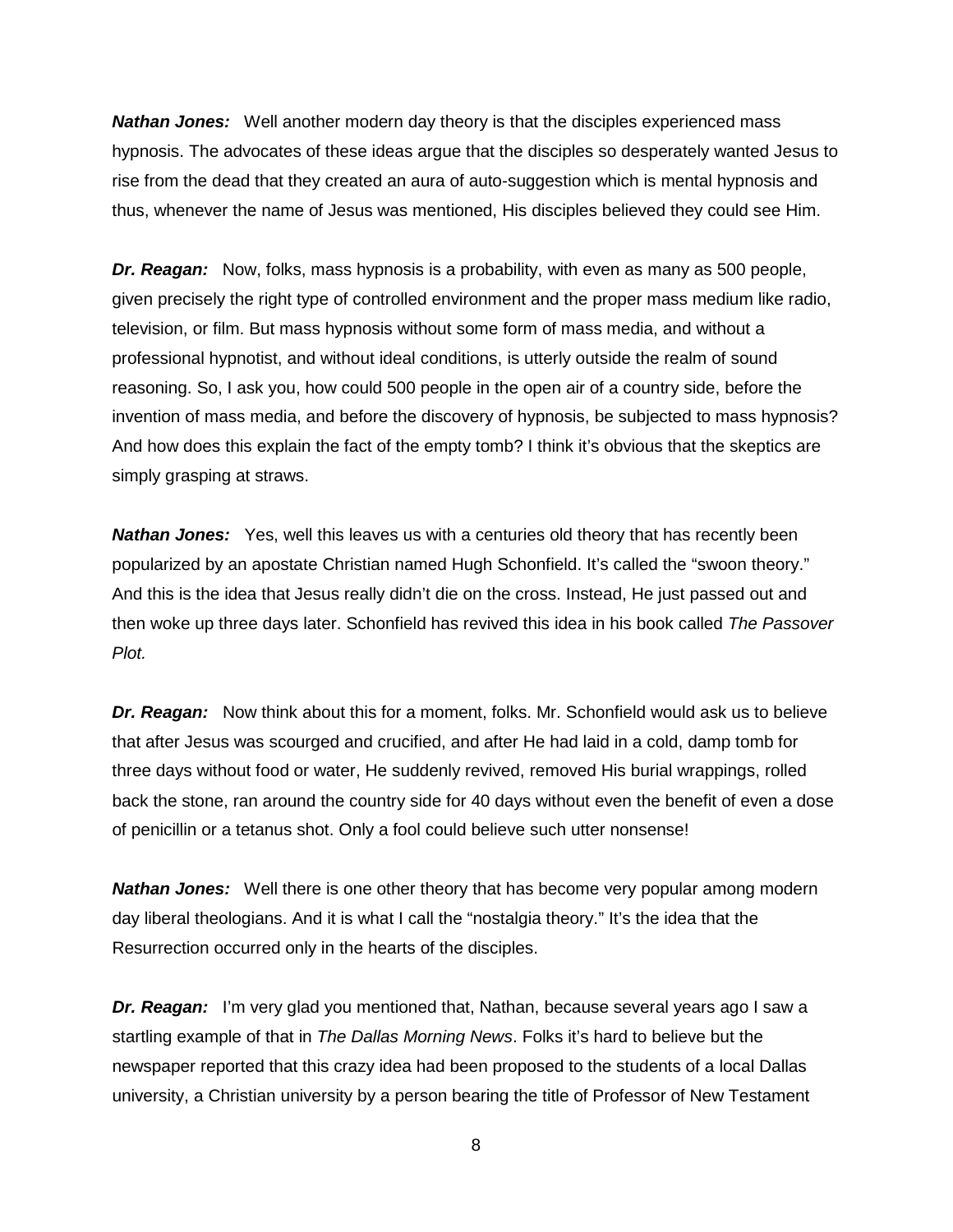*Nathan Jones:* Well another modern day theory is that the disciples experienced mass hypnosis. The advocates of these ideas argue that the disciples so desperately wanted Jesus to rise from the dead that they created an aura of auto-suggestion which is mental hypnosis and thus, whenever the name of Jesus was mentioned, His disciples believed they could see Him.

*Dr. Reagan:* Now, folks, mass hypnosis is a probability, with even as many as 500 people, given precisely the right type of controlled environment and the proper mass medium like radio, television, or film. But mass hypnosis without some form of mass media, and without a professional hypnotist, and without ideal conditions, is utterly outside the realm of sound reasoning. So, I ask you, how could 500 people in the open air of a country side, before the invention of mass media, and before the discovery of hypnosis, be subjected to mass hypnosis? And how does this explain the fact of the empty tomb? I think it's obvious that the skeptics are simply grasping at straws.

**Nathan Jones:** Yes, well this leaves us with a centuries old theory that has recently been popularized by an apostate Christian named Hugh Schonfield. It's called the "swoon theory." And this is the idea that Jesus really didn't die on the cross. Instead, He just passed out and then woke up three days later. Schonfield has revived this idea in his book called *The Passover Plot.*

*Dr. Reagan:* Now think about this for a moment, folks. Mr. Schonfield would ask us to believe that after Jesus was scourged and crucified, and after He had laid in a cold, damp tomb for three days without food or water, He suddenly revived, removed His burial wrappings, rolled back the stone, ran around the country side for 40 days without even the benefit of even a dose of penicillin or a tetanus shot. Only a fool could believe such utter nonsense!

*Nathan Jones:* Well there is one other theory that has become very popular among modern day liberal theologians. And it is what I call the "nostalgia theory." It's the idea that the Resurrection occurred only in the hearts of the disciples.

*Dr. Reagan:* I'm very glad you mentioned that, Nathan, because several years ago I saw a startling example of that in *The Dallas Morning News*. Folks it's hard to believe but the newspaper reported that this crazy idea had been proposed to the students of a local Dallas university, a Christian university by a person bearing the title of Professor of New Testament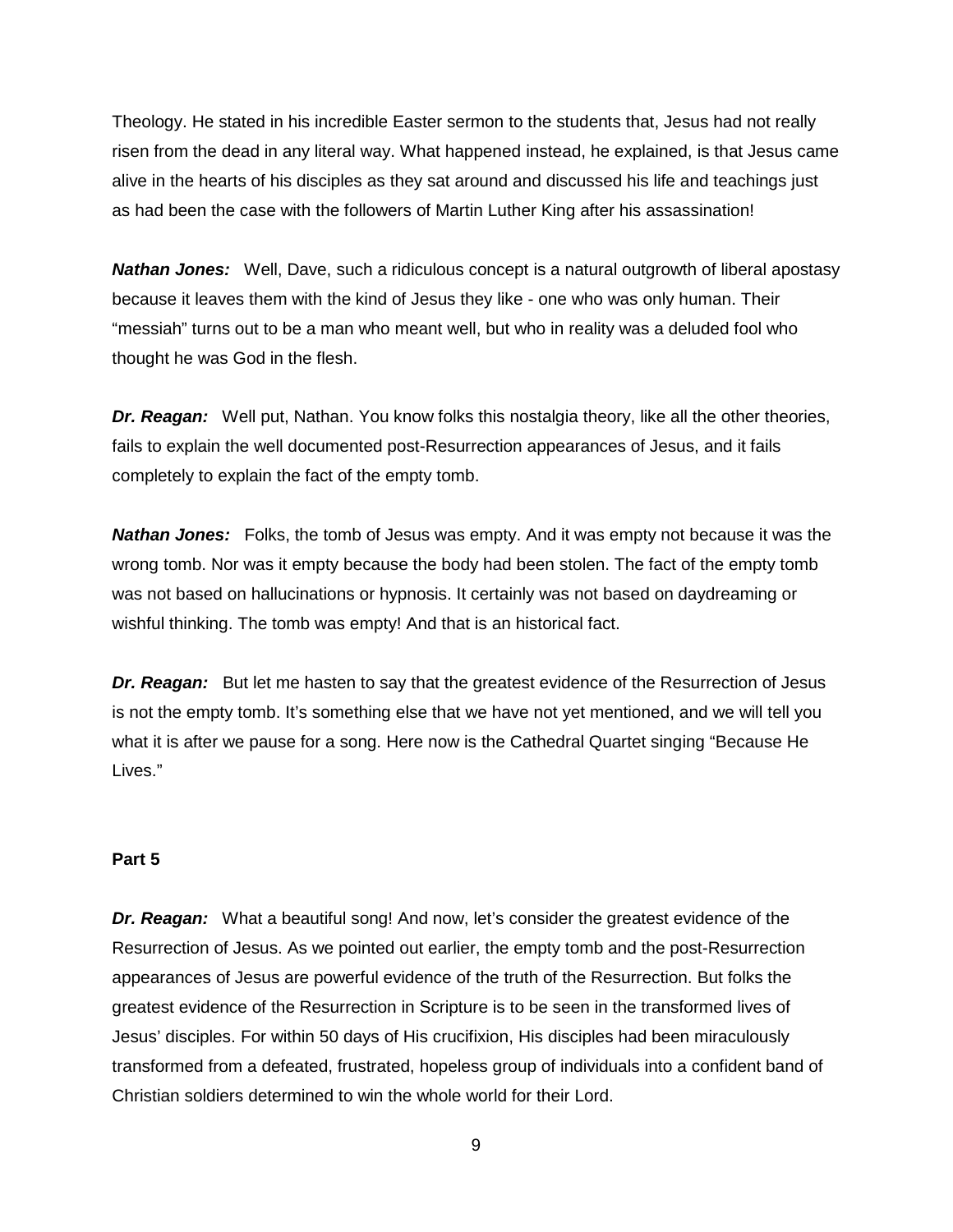Theology. He stated in his incredible Easter sermon to the students that, Jesus had not really risen from the dead in any literal way. What happened instead, he explained, is that Jesus came alive in the hearts of his disciples as they sat around and discussed his life and teachings just as had been the case with the followers of Martin Luther King after his assassination!

*Nathan Jones:* Well, Dave, such a ridiculous concept is a natural outgrowth of liberal apostasy because it leaves them with the kind of Jesus they like - one who was only human. Their "messiah" turns out to be a man who meant well, but who in reality was a deluded fool who thought he was God in the flesh.

*Dr. Reagan:* Well put, Nathan. You know folks this nostalgia theory, like all the other theories, fails to explain the well documented post-Resurrection appearances of Jesus, and it fails completely to explain the fact of the empty tomb.

*Nathan Jones:* Folks, the tomb of Jesus was empty. And it was empty not because it was the wrong tomb. Nor was it empty because the body had been stolen. The fact of the empty tomb was not based on hallucinations or hypnosis. It certainly was not based on daydreaming or wishful thinking. The tomb was empty! And that is an historical fact.

*Dr. Reagan:* But let me hasten to say that the greatest evidence of the Resurrection of Jesus is not the empty tomb. It's something else that we have not yet mentioned, and we will tell you what it is after we pause for a song. Here now is the Cathedral Quartet singing "Because He Lives."

### **Part 5**

*Dr. Reagan:* What a beautiful song! And now, let's consider the greatest evidence of the Resurrection of Jesus. As we pointed out earlier, the empty tomb and the post-Resurrection appearances of Jesus are powerful evidence of the truth of the Resurrection. But folks the greatest evidence of the Resurrection in Scripture is to be seen in the transformed lives of Jesus' disciples. For within 50 days of His crucifixion, His disciples had been miraculously transformed from a defeated, frustrated, hopeless group of individuals into a confident band of Christian soldiers determined to win the whole world for their Lord.